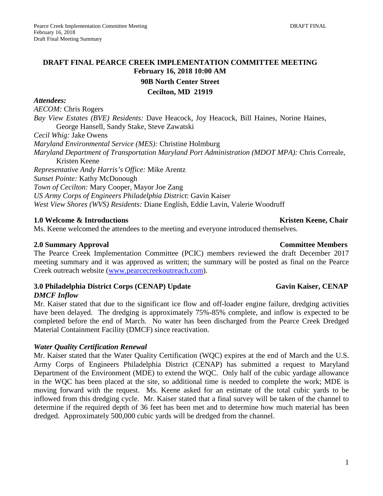### **DRAFT FINAL PEARCE CREEK IMPLEMENTATION COMMITTEE MEETING February 16, 2018 10:00 AM**

**90B North Center Street**

#### **Cecilton, MD 21919**

#### *Attendees:*

*AECOM:* Chris Rogers

*Bay View Estates (BVE) Residents:* Dave Heacock, Joy Heacock, Bill Haines, Norine Haines, George Hansell, Sandy Stake, Steve Zawatski

*Cecil Whig:* Jake Owens

*Maryland Environmental Service (MES):* Christine Holmburg

*Maryland Department of Transportation Maryland Port Administration (MDOT MPA):* Chris Correale, Kristen Keene

*Representative Andy Harris's Office:* Mike Arentz

*Sunset Pointe:* Kathy McDonough

*Town of Cecilton:* Mary Cooper, Mayor Joe Zang

*US Army Corps of Engineers Philadelphia District*: Gavin Kaiser

*West View Shores (WVS) Residents:* Diane English, Eddie Lavin, Valerie Woodruff

### **1.0 Welcome & Introductions**  $\bullet$  **Kristen Keene, Chair <b>Kristen Keene**, Chair **Kristen Keene**, Chair

Ms. Keene welcomed the attendees to the meeting and everyone introduced themselves.

### **2.0 Summary Approval Committee Members**

The Pearce Creek Implementation Committee (PCIC) members reviewed the draft December 2017 meeting summary and it was approved as written; the summary will be posted as final on the Pearce Creek outreach website [\(www.pearcecreekoutreach.com\)](http://www.pearcecreekoutreach.com/).

### **3.0 Philadelphia District Corps (CENAP) Update Gavin Kaiser, CENAP**

### *DMCF Inflow*

Mr. Kaiser stated that due to the significant ice flow and off-loader engine failure, dredging activities have been delayed. The dredging is approximately 75%-85% complete, and inflow is expected to be completed before the end of March. No water has been discharged from the Pearce Creek Dredged Material Containment Facility (DMCF) since reactivation.

### *Water Quality Certification Renewal*

Mr. Kaiser stated that the Water Quality Certification (WQC) expires at the end of March and the U.S. Army Corps of Engineers Philadelphia District (CENAP) has submitted a request to Maryland Department of the Environment (MDE) to extend the WQC. Only half of the cubic yardage allowance in the WQC has been placed at the site, so additional time is needed to complete the work; MDE is moving forward with the request. Ms. Keene asked for an estimate of the total cubic yards to be inflowed from this dredging cycle. Mr. Kaiser stated that a final survey will be taken of the channel to determine if the required depth of 36 feet has been met and to determine how much material has been dredged. Approximately 500,000 cubic yards will be dredged from the channel.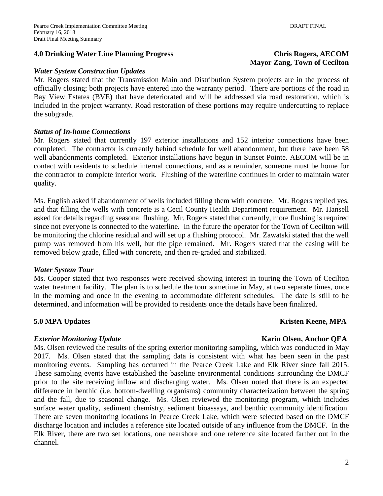#### **4.0 Drinking Water Line Planning Progress Chris Rogers, AECOM**

#### *Water System Construction Updates*

Mr. Rogers stated that the Transmission Main and Distribution System projects are in the process of officially closing; both projects have entered into the warranty period. There are portions of the road in Bay View Estates (BVE) that have deteriorated and will be addressed via road restoration, which is included in the project warranty. Road restoration of these portions may require undercutting to replace the subgrade.

#### *Status of In-home Connections*

Mr. Rogers stated that currently 197 exterior installations and 152 interior connections have been completed. The contractor is currently behind schedule for well abandonment, but there have been 58 well abandonments completed. Exterior installations have begun in Sunset Pointe. AECOM will be in contact with residents to schedule internal connections, and as a reminder, someone must be home for the contractor to complete interior work. Flushing of the waterline continues in order to maintain water quality.

Ms. English asked if abandonment of wells included filling them with concrete. Mr. Rogers replied yes, and that filling the wells with concrete is a Cecil County Health Department requirement. Mr. Hansell asked for details regarding seasonal flushing. Mr. Rogers stated that currently, more flushing is required since not everyone is connected to the waterline. In the future the operator for the Town of Cecilton will be monitoring the chlorine residual and will set up a flushing protocol. Mr. Zawatski stated that the well pump was removed from his well, but the pipe remained. Mr. Rogers stated that the casing will be removed below grade, filled with concrete, and then re-graded and stabilized.

#### *Water System Tour*

Ms. Cooper stated that two responses were received showing interest in touring the Town of Cecilton water treatment facility. The plan is to schedule the tour sometime in May, at two separate times, once in the morning and once in the evening to accommodate different schedules. The date is still to be determined, and information will be provided to residents once the details have been finalized.

#### **5.0** MPA Updates Kristen Keene, MPA

#### *Exterior Monitoring Update Karin Olsen, Anchor QEA*

Ms. Olsen reviewed the results of the spring exterior monitoring sampling, which was conducted in May 2017. Ms. Olsen stated that the sampling data is consistent with what has been seen in the past monitoring events. Sampling has occurred in the Pearce Creek Lake and Elk River since fall 2015. These sampling events have established the baseline environmental conditions surrounding the DMCF prior to the site receiving inflow and discharging water. Ms. Olsen noted that there is an expected difference in benthic (i.e. bottom-dwelling organisms) community characterization between the spring and the fall, due to seasonal change. Ms. Olsen reviewed the monitoring program, which includes surface water quality, sediment chemistry, sediment bioassays, and benthic community identification. There are seven monitoring locations in Pearce Creek Lake, which were selected based on the DMCF discharge location and includes a reference site located outside of any influence from the DMCF. In the Elk River, there are two set locations, one nearshore and one reference site located farther out in the channel.

# **Mayor Zang, Town of Cecilton**

## 2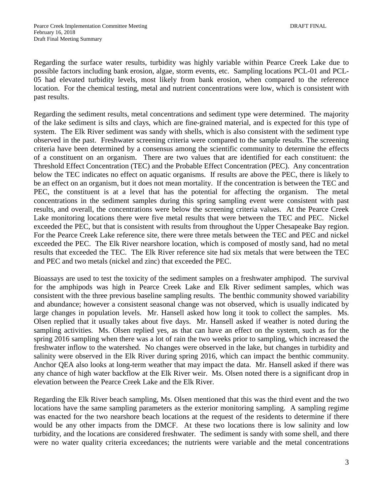Regarding the surface water results, turbidity was highly variable within Pearce Creek Lake due to possible factors including bank erosion, algae, storm events, etc. Sampling locations PCL-01 and PCL-05 had elevated turbidity levels, most likely from bank erosion, when compared to the reference location. For the chemical testing, metal and nutrient concentrations were low, which is consistent with past results.

Regarding the sediment results, metal concentrations and sediment type were determined. The majority of the lake sediment is silts and clays, which are fine-grained material, and is expected for this type of system. The Elk River sediment was sandy with shells, which is also consistent with the sediment type observed in the past. Freshwater screening criteria were compared to the sample results. The screening criteria have been determined by a consensus among the scientific community to determine the effects of a constituent on an organism. There are two values that are identified for each constituent: the Threshold Effect Concentration (TEC) and the Probable Effect Concentration (PEC). Any concentration below the TEC indicates no effect on aquatic organisms. If results are above the PEC, there is likely to be an effect on an organism, but it does not mean mortality. If the concentration is between the TEC and PEC, the constituent is at a level that has the potential for affecting the organism. The metal concentrations in the sediment samples during this spring sampling event were consistent with past results, and overall, the concentrations were below the screening criteria values. At the Pearce Creek Lake monitoring locations there were five metal results that were between the TEC and PEC. Nickel exceeded the PEC, but that is consistent with results from throughout the Upper Chesapeake Bay region. For the Pearce Creek Lake reference site, there were three metals between the TEC and PEC and nickel exceeded the PEC. The Elk River nearshore location, which is composed of mostly sand, had no metal results that exceeded the TEC. The Elk River reference site had six metals that were between the TEC and PEC and two metals (nickel and zinc) that exceeded the PEC.

Bioassays are used to test the toxicity of the sediment samples on a freshwater amphipod. The survival for the amphipods was high in Pearce Creek Lake and Elk River sediment samples, which was consistent with the three previous baseline sampling results. The benthic community showed variability and abundance; however a consistent seasonal change was not observed, which is usually indicated by large changes in population levels. Mr. Hansell asked how long it took to collect the samples. Ms. Olsen replied that it usually takes about five days. Mr. Hansell asked if weather is noted during the sampling activities. Ms. Olsen replied yes, as that can have an effect on the system, such as for the spring 2016 sampling when there was a lot of rain the two weeks prior to sampling, which increased the freshwater inflow to the watershed. No changes were observed in the lake, but changes in turbidity and salinity were observed in the Elk River during spring 2016, which can impact the benthic community. Anchor QEA also looks at long-term weather that may impact the data. Mr. Hansell asked if there was any chance of high water backflow at the Elk River weir. Ms. Olsen noted there is a significant drop in elevation between the Pearce Creek Lake and the Elk River.

Regarding the Elk River beach sampling, Ms. Olsen mentioned that this was the third event and the two locations have the same sampling parameters as the exterior monitoring sampling. A sampling regime was enacted for the two nearshore beach locations at the request of the residents to determine if there would be any other impacts from the DMCF. At these two locations there is low salinity and low turbidity, and the locations are considered freshwater. The sediment is sandy with some shell, and there were no water quality criteria exceedances; the nutrients were variable and the metal concentrations